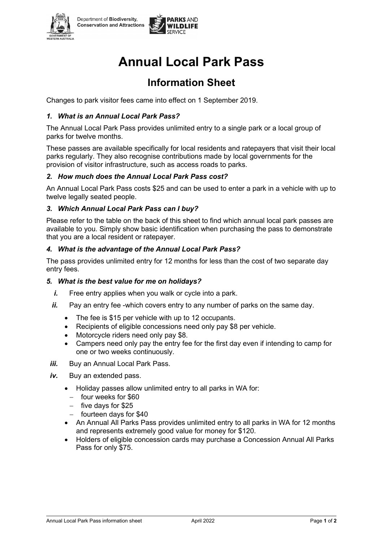



# **Annual Local Park Pass**

## **Information Sheet**

Changes to park visitor fees came into effect on 1 September 2019.

#### *1. What is an Annual Local Park Pass?*

The Annual Local Park Pass provides unlimited entry to a single park or a local group of parks for twelve months.

These passes are available specifically for local residents and ratepayers that visit their local parks regularly. They also recognise contributions made by local governments for the provision of visitor infrastructure, such as access roads to parks.

#### *2. How much does the Annual Local Park Pass cost?*

An Annual Local Park Pass costs \$25 and can be used to enter a park in a vehicle with up to twelve legally seated people.

#### *3. Which Annual Local Park Pass can I buy?*

Please refer to the table on the back of this sheet to find which annual local park passes are available to you. Simply show basic identification when purchasing the pass to demonstrate that you are a local resident or ratepayer.

#### *4. What is the advantage of the Annual Local Park Pass?*

The pass provides unlimited entry for 12 months for less than the cost of two separate day entry fees.

#### *5. What is the best value for me on holidays?*

- *i.* Free entry applies when you walk or cycle into a park.
- *ii.* Pay an entry fee -which covers entry to any number of parks on the same day.
	- The fee is \$15 per vehicle with up to 12 occupants.
	- Recipients of eligible concessions need only pay \$8 per vehicle.
	- Motorcycle riders need only pay \$8.
	- Campers need only pay the entry fee for the first day even if intending to camp for one or two weeks continuously.
- *iii.* Buy an Annual Local Park Pass.
- *iv.* Buy an extended pass.
	- Holiday passes allow unlimited entry to all parks in WA for:
		- − four weeks for \$60
		- − five days for \$25
		- − fourteen days for \$40
	- An Annual All Parks Pass provides unlimited entry to all parks in WA for 12 months and represents extremely good value for money for \$120.
	- Holders of eligible concession cards may purchase a Concession Annual All Parks Pass for only \$75.